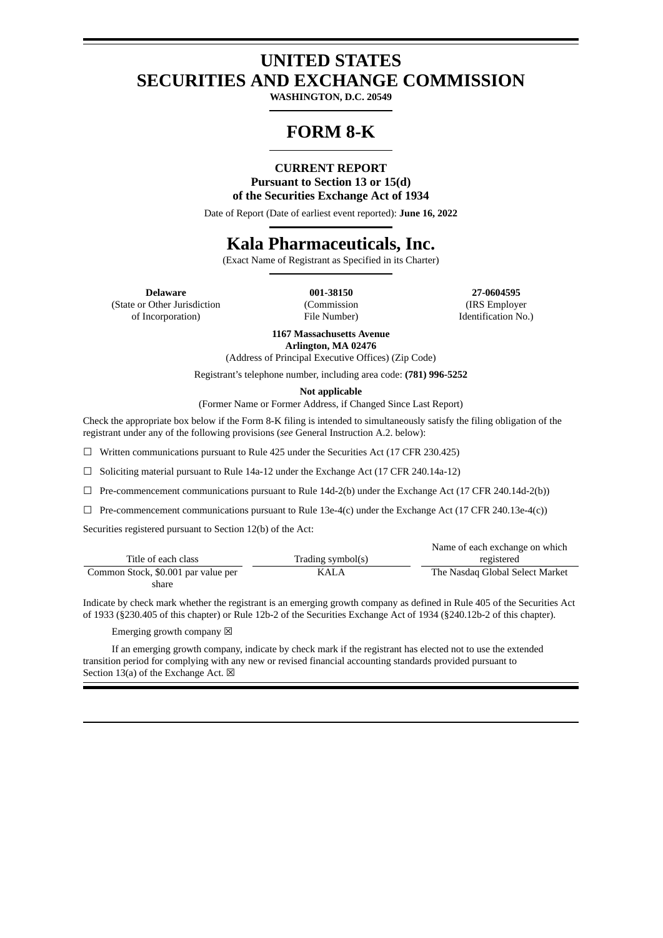### **UNITED STATES SECURITIES AND EXCHANGE COMMISSION**

**WASHINGTON, D.C. 20549**

# **FORM 8-K**

### **CURRENT REPORT Pursuant to Section 13 or 15(d) of the Securities Exchange Act of 1934**

Date of Report (Date of earliest event reported): **June 16, 2022**

## **Kala Pharmaceuticals, Inc.**

(Exact Name of Registrant as Specified in its Charter)

(State or Other Jurisdiction of Incorporation)

(Commission File Number)

**Delaware 001-38150 27-0604595** (IRS Employer Identification No.)

> **1167 Massachusetts Avenue Arlington, MA 02476**

(Address of Principal Executive Offices) (Zip Code)

Registrant's telephone number, including area code: **(781) 996-5252**

**Not applicable**

(Former Name or Former Address, if Changed Since Last Report)

Check the appropriate box below if the Form 8-K filing is intended to simultaneously satisfy the filing obligation of the registrant under any of the following provisions (*see* General Instruction A.2. below):

 $\Box$  Written communications pursuant to Rule 425 under the Securities Act (17 CFR 230.425)

☐ Soliciting material pursuant to Rule 14a-12 under the Exchange Act (17 CFR 240.14a-12)

 $\Box$  Pre-commencement communications pursuant to Rule 14d-2(b) under the Exchange Act (17 CFR 240.14d-2(b))

 $\Box$  Pre-commencement communications pursuant to Rule 13e-4(c) under the Exchange Act (17 CFR 240.13e-4(c))

Securities registered pursuant to Section 12(b) of the Act:

|                                     |                   | Name of each exchange on which  |
|-------------------------------------|-------------------|---------------------------------|
| Title of each class                 | Trading symbol(s) | registered                      |
| Common Stock, \$0.001 par value per | KALA              | The Nasdag Global Select Market |
| share                               |                   |                                 |

Indicate by check mark whether the registrant is an emerging growth company as defined in Rule 405 of the Securities Act of 1933 (§230.405 of this chapter) or Rule 12b-2 of the Securities Exchange Act of 1934 (§240.12b-2 of this chapter).

Emerging growth company  $\boxtimes$ 

If an emerging growth company, indicate by check mark if the registrant has elected not to use the extended transition period for complying with any new or revised financial accounting standards provided pursuant to Section 13(a) of the Exchange Act.  $\boxtimes$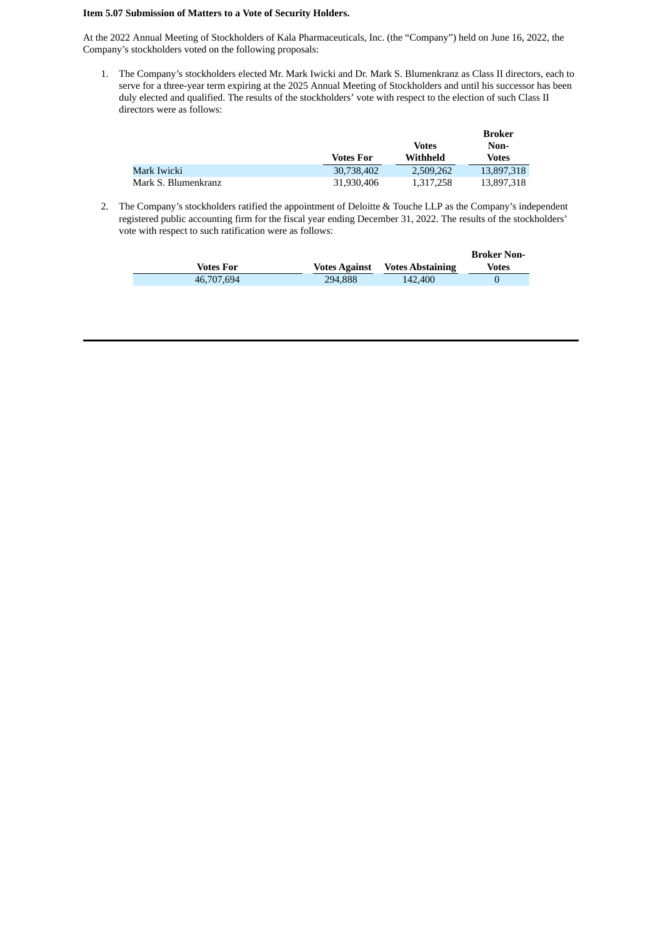#### **Item 5.07 Submission of Matters to a Vote of Security Holders.**

At the 2022 Annual Meeting of Stockholders of Kala Pharmaceuticals, Inc. (the "Company") held on June 16, 2022, the Company's stockholders voted on the following proposals:

1. The Company's stockholders elected Mr. Mark Iwicki and Dr. Mark S. Blumenkranz as Class II directors, each to serve for a three-year term expiring at the 2025 Annual Meeting of Stockholders and until his successor has been duly elected and qualified. The results of the stockholders' vote with respect to the election of such Class II directors were as follows:

|                     |                  |           | Broker     |  |
|---------------------|------------------|-----------|------------|--|
|                     |                  | Votes     | Non-       |  |
|                     | <b>Votes For</b> | Withheld  | Votes      |  |
| Mark Iwicki         | 30,738,402       | 2,509,262 | 13,897,318 |  |
| Mark S. Blumenkranz | 31,930,406       | 1.317.258 | 13,897,318 |  |

2. The Company's stockholders ratified the appointment of Deloitte & Touche LLP as the Company's independent registered public accounting firm for the fiscal year ending December 31, 2022. The results of the stockholders' vote with respect to such ratification were as follows:

|            |                      |                         | <b>Broker Non-</b> |
|------------|----------------------|-------------------------|--------------------|
| Votes For  | <b>Votes Against</b> | <b>Votes Abstaining</b> | Votes              |
| 46,707,694 | 294,888              | 142,400                 |                    |